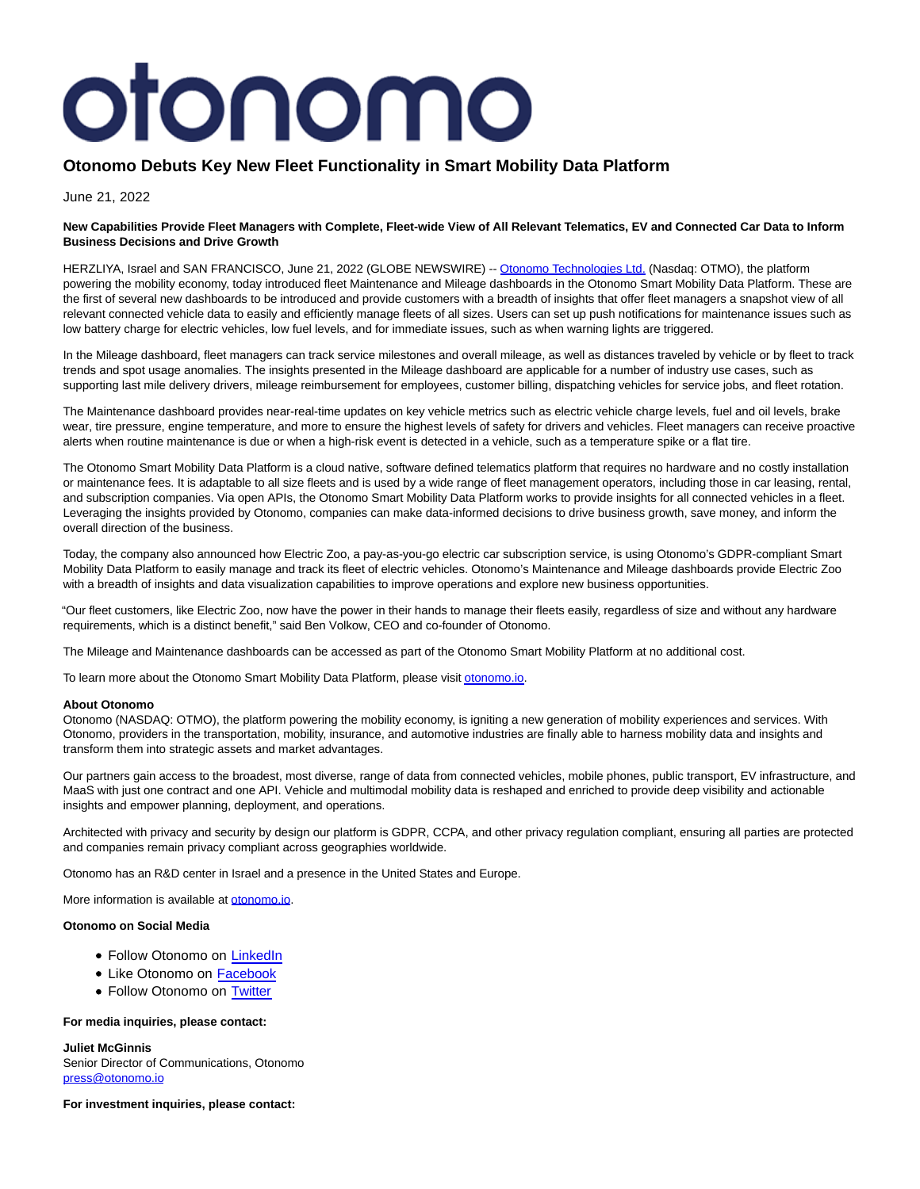# otonomo

# **Otonomo Debuts Key New Fleet Functionality in Smart Mobility Data Platform**

June 21, 2022

## **New Capabilities Provide Fleet Managers with Complete, Fleet-wide View of All Relevant Telematics, EV and Connected Car Data to Inform Business Decisions and Drive Growth**

HERZLIYA, Israel and SAN FRANCISCO, June 21, 2022 (GLOBE NEWSWIRE) -- [Otonomo Technologies Ltd. \(](https://www.globenewswire.com/Tracker?data=HTSD0cxlzBx8MDD5nhFJY8GVLaIzfXGadyjcLD059Zk7o6-MycnUehUByWPRthC6bnmVwBxKHXgb1sJl7_e3GPYhmfxg6VfPEGL1ktjLzcQ=)Nasdaq: OTMO), the platform powering the mobility economy, today introduced fleet Maintenance and Mileage dashboards in the Otonomo Smart Mobility Data Platform. These are the first of several new dashboards to be introduced and provide customers with a breadth of insights that offer fleet managers a snapshot view of all relevant connected vehicle data to easily and efficiently manage fleets of all sizes. Users can set up push notifications for maintenance issues such as low battery charge for electric vehicles, low fuel levels, and for immediate issues, such as when warning lights are triggered.

In the Mileage dashboard, fleet managers can track service milestones and overall mileage, as well as distances traveled by vehicle or by fleet to track trends and spot usage anomalies. The insights presented in the Mileage dashboard are applicable for a number of industry use cases, such as supporting last mile delivery drivers, mileage reimbursement for employees, customer billing, dispatching vehicles for service jobs, and fleet rotation.

The Maintenance dashboard provides near-real-time updates on key vehicle metrics such as electric vehicle charge levels, fuel and oil levels, brake wear, tire pressure, engine temperature, and more to ensure the highest levels of safety for drivers and vehicles. Fleet managers can receive proactive alerts when routine maintenance is due or when a high-risk event is detected in a vehicle, such as a temperature spike or a flat tire.

The Otonomo Smart Mobility Data Platform is a cloud native, software defined telematics platform that requires no hardware and no costly installation or maintenance fees. It is adaptable to all size fleets and is used by a wide range of fleet management operators, including those in car leasing, rental, and subscription companies. Via open APIs, the Otonomo Smart Mobility Data Platform works to provide insights for all connected vehicles in a fleet. Leveraging the insights provided by Otonomo, companies can make data-informed decisions to drive business growth, save money, and inform the overall direction of the business.

Today, the company also announced how Electric Zoo, a pay-as-you-go electric car subscription service, is using Otonomo's GDPR-compliant Smart Mobility Data Platform to easily manage and track its fleet of electric vehicles. Otonomo's Maintenance and Mileage dashboards provide Electric Zoo with a breadth of insights and data visualization capabilities to improve operations and explore new business opportunities.

"Our fleet customers, like Electric Zoo, now have the power in their hands to manage their fleets easily, regardless of size and without any hardware requirements, which is a distinct benefit," said Ben Volkow, CEO and co-founder of Otonomo.

The Mileage and Maintenance dashboards can be accessed as part of the Otonomo Smart Mobility Platform at no additional cost.

To learn more about the Otonomo Smart Mobility Data Platform, please visi[t otonomo.io.](https://www.globenewswire.com/Tracker?data=tRbXblPpdT7PgBL5yjbOuiSG8PYCuGAhdn11-WBI2UKdOem3Pf8gTrS55qYUG8qnI2hZLL98_ICdUXe0m3JeOOTTPd8vkUbMu3Hc-rzzdY9CrqI4YdgYZGXyN1gYpqdL)

## **About Otonomo**

Otonomo (NASDAQ: OTMO), the platform powering the mobility economy, is igniting a new generation of mobility experiences and services. With Otonomo, providers in the transportation, mobility, insurance, and automotive industries are finally able to harness mobility data and insights and transform them into strategic assets and market advantages.

Our partners gain access to the broadest, most diverse, range of data from connected vehicles, mobile phones, public transport, EV infrastructure, and MaaS with just one contract and one API. Vehicle and multimodal mobility data is reshaped and enriched to provide deep visibility and actionable insights and empower planning, deployment, and operations.

Architected with privacy and security by design our platform is GDPR, CCPA, and other privacy regulation compliant, ensuring all parties are protected and companies remain privacy compliant across geographies worldwide.

Otonomo has an R&D center in Israel and a presence in the United States and Europe.

More information is available at [otonomo.io.](https://www.globenewswire.com/Tracker?data=tRbXblPpdT7PgBL5yjbOujlzNqBSQ6dbjNcjqgcyuMkia0Cx4ciI5mkryaDzR0DM5dyrpL59KPplX538ROre-A==)

#### **Otonomo on Social Media**

- Follow Otonomo on [LinkedIn](https://www.linkedin.com/company/otonomo)
- Like Otonomo on [Facebook](https://www.facebook.com/otonomo.io)
- Follow Otonomo on [Twitter](https://twitter.com/otonomo_)

#### **For media inquiries, please contact:**

**Juliet McGinnis**

Senior Director of Communications, Otonomo [press@otonomo.io](https://www.globenewswire.com/Tracker?data=ZE4r1b6sHPKh_8K4yVgLcO4ZSIF2-wX0z7-C5SmueehoieOZdlDGc7EEGApKimqczTuzbgvHGAoVOSjleVGR0Q==)

**For investment inquiries, please contact:**